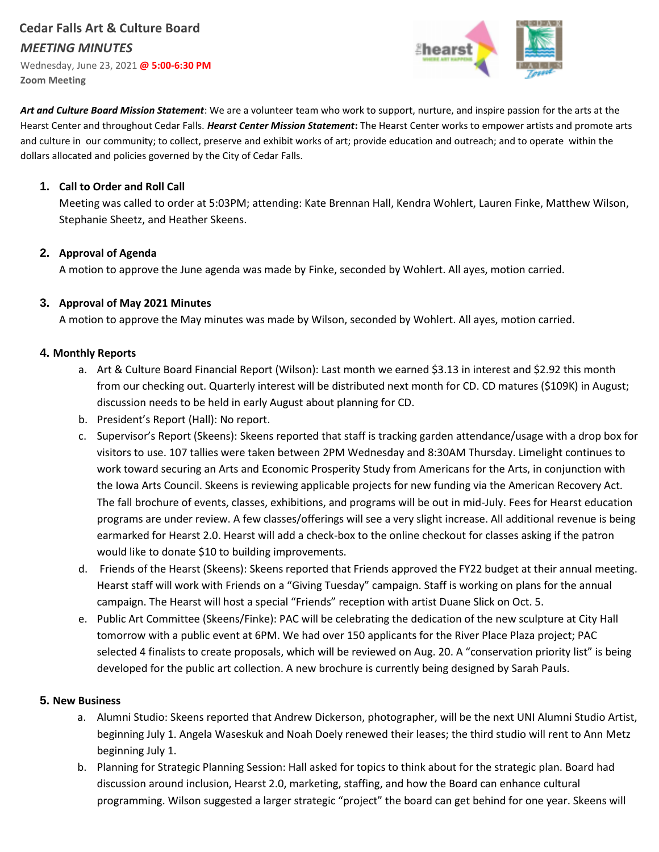# **Cedar Falls Art & Culture Board**  *MEETING MINUTES*

Wednesday, June 23, 2021 **@ 5:00-6:30 PM Zoom Meeting**



*Art and Culture Board Mission Statement*: We are a volunteer team who work to support, nurture, and inspire passion for the arts at the Hearst Center and throughout Cedar Falls. *Hearst Center Mission Statement***:** The Hearst Center works to empower artists and promote arts and culture in our community; to collect, preserve and exhibit works of art; provide education and outreach; and to operate within the dollars allocated and policies governed by the City of Cedar Falls.

### **1. Call to Order and Roll Call**

Meeting was called to order at 5:03PM; attending: Kate Brennan Hall, Kendra Wohlert, Lauren Finke, Matthew Wilson, Stephanie Sheetz, and Heather Skeens.

### **2. Approval of Agenda**

A motion to approve the June agenda was made by Finke, seconded by Wohlert. All ayes, motion carried.

### **3. Approval of May 2021 Minutes**

A motion to approve the May minutes was made by Wilson, seconded by Wohlert. All ayes, motion carried.

### **4. Monthly Reports**

- a. Art & Culture Board Financial Report (Wilson): Last month we earned \$3.13 in interest and \$2.92 this month from our checking out. Quarterly interest will be distributed next month for CD. CD matures (\$109K) in August; discussion needs to be held in early August about planning for CD.
- b. President's Report (Hall): No report.
- c. Supervisor's Report (Skeens): Skeens reported that staff is tracking garden attendance/usage with a drop box for visitors to use. 107 tallies were taken between 2PM Wednesday and 8:30AM Thursday. Limelight continues to work toward securing an Arts and Economic Prosperity Study from Americans for the Arts, in conjunction with the Iowa Arts Council. Skeens is reviewing applicable projects for new funding via the American Recovery Act. The fall brochure of events, classes, exhibitions, and programs will be out in mid-July. Fees for Hearst education programs are under review. A few classes/offerings will see a very slight increase. All additional revenue is being earmarked for Hearst 2.0. Hearst will add a check-box to the online checkout for classes asking if the patron would like to donate \$10 to building improvements.
- d. Friends of the Hearst (Skeens): Skeens reported that Friends approved the FY22 budget at their annual meeting. Hearst staff will work with Friends on a "Giving Tuesday" campaign. Staff is working on plans for the annual campaign. The Hearst will host a special "Friends" reception with artist Duane Slick on Oct. 5.
- e. Public Art Committee (Skeens/Finke): PAC will be celebrating the dedication of the new sculpture at City Hall tomorrow with a public event at 6PM. We had over 150 applicants for the River Place Plaza project; PAC selected 4 finalists to create proposals, which will be reviewed on Aug. 20. A "conservation priority list" is being developed for the public art collection. A new brochure is currently being designed by Sarah Pauls.

#### **5. New Business**

- a. Alumni Studio: Skeens reported that Andrew Dickerson, photographer, will be the next UNI Alumni Studio Artist, beginning July 1. Angela Waseskuk and Noah Doely renewed their leases; the third studio will rent to Ann Metz beginning July 1.
- b. Planning for Strategic Planning Session: Hall asked for topics to think about for the strategic plan. Board had discussion around inclusion, Hearst 2.0, marketing, staffing, and how the Board can enhance cultural programming. Wilson suggested a larger strategic "project" the board can get behind for one year. Skeens will